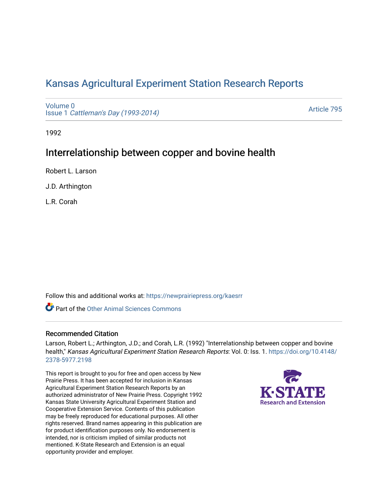# [Kansas Agricultural Experiment Station Research Reports](https://newprairiepress.org/kaesrr)

[Volume 0](https://newprairiepress.org/kaesrr/vol0) Issue 1 [Cattleman's Day \(1993-2014\)](https://newprairiepress.org/kaesrr/vol0/iss1) 

[Article 795](https://newprairiepress.org/kaesrr/vol0/iss1/795) 

1992

## Interrelationship between copper and bovine health

Robert L. Larson

J.D. Arthington

L.R. Corah

Follow this and additional works at: [https://newprairiepress.org/kaesrr](https://newprairiepress.org/kaesrr?utm_source=newprairiepress.org%2Fkaesrr%2Fvol0%2Fiss1%2F795&utm_medium=PDF&utm_campaign=PDFCoverPages) 

**C** Part of the [Other Animal Sciences Commons](http://network.bepress.com/hgg/discipline/82?utm_source=newprairiepress.org%2Fkaesrr%2Fvol0%2Fiss1%2F795&utm_medium=PDF&utm_campaign=PDFCoverPages)

### Recommended Citation

Larson, Robert L.; Arthington, J.D.; and Corah, L.R. (1992) "Interrelationship between copper and bovine health," Kansas Agricultural Experiment Station Research Reports: Vol. 0: Iss. 1. [https://doi.org/10.4148/](https://doi.org/10.4148/2378-5977.2198) [2378-5977.2198](https://doi.org/10.4148/2378-5977.2198) 

This report is brought to you for free and open access by New Prairie Press. It has been accepted for inclusion in Kansas Agricultural Experiment Station Research Reports by an authorized administrator of New Prairie Press. Copyright 1992 Kansas State University Agricultural Experiment Station and Cooperative Extension Service. Contents of this publication may be freely reproduced for educational purposes. All other rights reserved. Brand names appearing in this publication are for product identification purposes only. No endorsement is intended, nor is criticism implied of similar products not mentioned. K-State Research and Extension is an equal opportunity provider and employer.

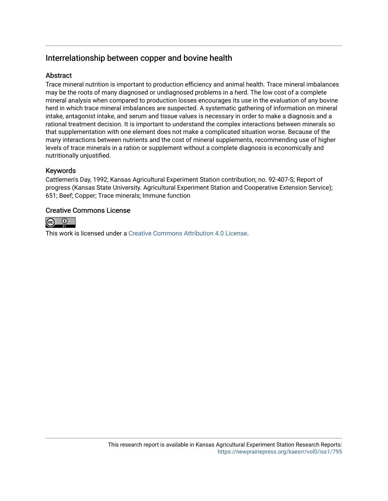## Interrelationship between copper and bovine health

## **Abstract**

Trace mineral nutrition is important to production efficiency and animal health. Trace mineral imbalances may be the roots of many diagnosed or undiagnosed problems in a herd. The low cost of a complete mineral analysis when compared to production losses encourages its use in the evaluation of any bovine herd in which trace mineral imbalances are suspected. A systematic gathering of information on mineral intake, antagonist intake, and serum and tissue values is necessary in order to make a diagnosis and a rational treatment decision. It is important to understand the complex interactions between minerals so that supplementation with one element does not make a complicated situation worse. Because of the many interactions between nutrients and the cost of mineral supplements, recommending use of higher levels of trace minerals in a ration or supplement without a complete diagnosis is economically and nutritionally unjustified.

## Keywords

Cattlemen's Day, 1992; Kansas Agricultural Experiment Station contribution; no. 92-407-S; Report of progress (Kansas State University. Agricultural Experiment Station and Cooperative Extension Service); 651; Beef; Copper; Trace minerals; Immune function

## Creative Commons License



This work is licensed under a [Creative Commons Attribution 4.0 License](https://creativecommons.org/licenses/by/4.0/).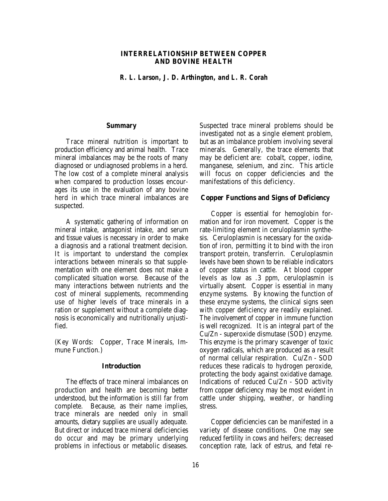#### **INTERRELATIONSHIP BETWEEN COPPER AND BOVINE HEALTH**

*R. L. Larson, J. D. Arthington, and L. R. Corah*

#### **Summary**

Trace mineral nutrition is important to production efficiency and animal health. Trace mineral imbalances may be the roots of many diagnosed or undiagnosed problems in a herd. The low cost of a complete mineral analysis when compared to production losses encourages its use in the evaluation of any bovine herd in which trace mineral imbalances are suspected.

A systematic gathering of information on mineral intake, antagonist intake, and serum and tissue values is necessary in order to make a diagnosis and a rational treatment decision. It is important to understand the complex interactions between minerals so that supplementation with one element does not make a complicated situation worse. Because of the many interactions between nutrients and the cost of mineral supplements, recommending use of higher levels of trace minerals in a ration or supplement without a complete diagnosis is economically and nutritionally unjustified.

(Key Words: Copper, Trace Minerals, Immune Function.)

#### **Introduction**

The effects of trace mineral imbalances on production and health are becoming better understood, but the information is still far from complete. Because, as their name implies, trace minerals are needed only in small amounts, dietary supplies are usually adequate. But direct or induced trace mineral deficiencies do occur and may be primary underlying problems in infectious or metabolic diseases.

Suspected trace mineral problems should be investigated not as a single element problem, but as an imbalance problem involving several minerals. Generally, the trace elements that may be deficient are: cobalt, copper, iodine, manganese, selenium, and zinc. This article will focus on copper deficiencies and the manifestations of this deficiency.

#### **Copper Functions and Signs of Deficiency**

Copper is essential for hemoglobin formation and for iron movement. Copper is the rate-limiting element in ceruloplasmin synthesis. Ceruloplasmin is necessary for the oxidation of iron, permitting it to bind with the iron transport protein, transferrin. Ceruloplasmin levels have been shown to be reliable indicators of copper status in cattle. At blood copper levels as low as .3 ppm, ceruloplasmin is virtually absent. Copper is essential in many enzyme systems. By knowing the function of these enzyme systems, the clinical signs seen with copper deficiency are readily explained. The involvement of copper in immune function is well recognized. It is an integral part of the Cu/Zn - superoxide dismutase (SOD) enzyme. This enzyme is the primary scavenger of toxic oxygen radicals, which are produced as a result of normal cellular respiration. Cu/Zn - SOD reduces these radicals to hydrogen peroxide, protecting the body against oxidative damage. Indications of reduced Cu/Zn - SOD activity from copper deficiency may be most evident in cattle under shipping, weather, or handling stress.

Copper deficiencies can be manifested in a variety of disease conditions. One may see reduced fertility in cows and heifers; decreased conception rate, lack of estrus, and fetal re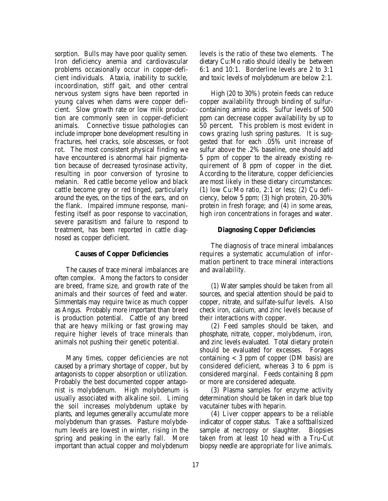sorption. Bulls may have poor quality semen. Iron deficiency anemia and cardiovascular problems occasionally occur in copper-deficient individuals. Ataxia, inability to suckle, incoordination, stiff gait, and other central nervous system signs have been reported in young calves when dams were copper deficient. Slow growth rate or low milk production are commonly seen in copper-deficient animals. Connective tissue pathologies can include improper bone development resulting in fractures, heel cracks, sole abscesses, or foot rot. The most consistent physical finding we have encountered is abnormal hair pigmentation because of decreased tyrosinase activity, resulting in poor conversion of tyrosine to melanin. Red cattle become yellow and black cattle become grey or red tinged, particularly around the eyes, on the tips of the ears, and on the flank. Impaired immune response, manifesting itself as poor response to vaccination, severe parasitism and failure to respond to treatment, has been reported in cattle diagnosed as copper deficient.

#### **Causes of Copper Deficiencies**

The causes of trace mineral imbalances are often complex. Among the factors to consider are breed, frame size, and growth rate of the animals and their sources of feed and water. Simmentals may require twice as much copper as Angus. Probably more important than breed is production potential. Cattle of any breed that are heavy milking or fast growing may require higher levels of trace minerals than animals not pushing their genetic potential.

Many times, copper deficiencies are not caused by a primary shortage of copper, but by antagonists to copper absorption or utilization. Probably the best documented copper antagonist is molybdenum. High molybdenum is usually associated with alkaline soil. Liming the soil increases molybdenum uptake by plants, and legumes generally accumulate more molybdenum than grasses. Pasture molybdenum levels are lowest in winter, rising in the spring and peaking in the early fall. More important than actual copper and molybdenum

levels is the ratio of these two elements. The dietary Cu:Mo ratio should ideally be between 6:1 and 10:1. Borderline levels are 2 to 3:1 and toxic levels of molybdenum are below 2:1.

High (20 to 30%) protein feeds can reduce copper availability through binding of sulfurcontaining amino acids. Sulfur levels of 500 ppm can decrease copper availability by up to 50 percent. This problem is most evident in cows grazing lush spring pastures. It is suggested that for each .05% unit increase of sulfur above the .2% baseline, one should add 5 ppm of copper to the already existing requirement of 8 ppm of copper in the diet. According to the literature, copper deficiencies are most likely in these dietary circumstances: (1) low Cu:Mo ratio, 2:1 or less; (2) Cu deficiency, below 5 ppm; (3) high protein, 20-30% protein in fresh forage; and (4) in some areas, high iron concentrations in forages and water.

#### **Diagnosing Copper Deficiencies**

The diagnosis of trace mineral imbalances requires a systematic accumulation of information pertinent to trace mineral interactions and availability.

(1) Water samples should be taken from all sources, and special attention should be paid to copper, nitrate, and sulfate-sulfur levels. Also check iron, calcium, and zinc levels because of their interactions with copper.

(2) Feed samples should be taken, and phosphate, nitrate, copper, molybdenum, iron, and zinc levels evaluated. Total dietary protein should be evaluated for excesses. Forages containing  $<$  3 ppm of copper (DM basis) are considered deficient, whereas 3 to 6 ppm is considered marginal. Feeds containing 8 ppm or more are considered adequate.

(3) Plasma samples for enzyme activity determination should be taken in dark blue top vacutainer tubes with heparin.

(4) Liver copper appears to be a reliable indicator of copper status. Take a softballsized sample at necropsy or slaughter. Biopsies taken from at least 10 head with a Tru-Cut biopsy needle are appropriate for live animals.